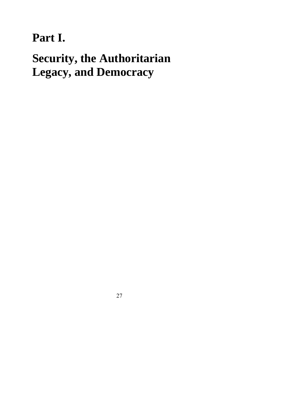## **Part I.**

# **Security, the Authoritarian Legacy, and Democracy**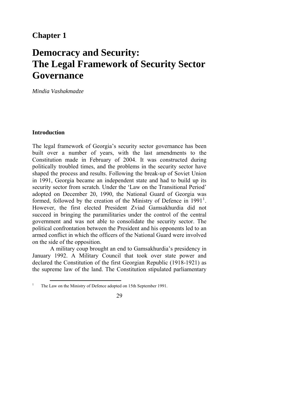### **Chapter 1**

### **Democracy and Security: The Legal Framework of Security Sector Governance**

*Mindia Vashakmadze* 

#### **Introduction**

The legal framework of Georgia's security sector governance has been built over a number of years, with the last amendments to the Constitution made in February of 2004. It was constructed during politically troubled times, and the problems in the security sector have shaped the process and results. Following the break-up of Soviet Union in 1991, Georgia became an independent state and had to build up its security sector from scratch. Under the 'Law on the Transitional Period' adopted on December 20, 1990, the National Guard of Georgia was formed, followed by the creation of the Ministry of Defence in  $1991<sup>1</sup>$  $1991<sup>1</sup>$ . However, the first elected President Zviad Gamsakhurdia did not succeed in bringing the paramilitaries under the control of the central government and was not able to consolidate the security sector. The political confrontation between the President and his opponents led to an armed conflict in which the officers of the National Guard were involved on the side of the opposition.

A military coup brought an end to Gamsakhurdia's presidency in January 1992. A Military Council that took over state power and declared the Constitution of the first Georgian Republic (1918-1921) as the supreme law of the land. The Constitution stipulated parliamentary

<span id="page-1-0"></span> $\overline{a}$ 1 The Law on the Ministry of Defence adopted on 15th September 1991.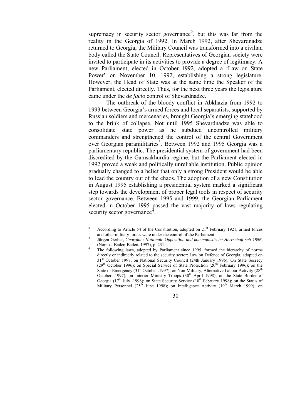supremacy in security sector governance<sup>[2](#page-2-0)</sup>, but this was far from the reality in the Georgia of 1992. In March 1992, after Shevardnadze returned to Georgia, the Military Council was transformed into a civilian body called the State Council. Representatives of Georgian society were invited to participate in its activities to provide a degree of legitimacy. A new Parliament, elected in October 1992, adopted a 'Law on State Power' on November 10, 1992, establishing a strong legislature. However, the Head of State was at the same time the Speaker of the Parliament, elected directly. Thus, for the next three years the legislature came under the *de facto* control of Shevardnadze.

The outbreak of the bloody conflict in Abkhazia from 1992 to 1993 between Georgia's armed forces and local separatists, supported by Russian soldiers and mercenaries, brought Georgia's emerging statehood to the brink of collapse. Not until 1995 Shevardnadze was able to consolidate state power as he subdued uncontrolled military commanders and strengthened the control of the central Government over Georgian paramilitaries<sup>[3](#page-2-1)</sup>. Between 1992 and 1995 Georgia was a parliamentary republic. The presidential system of government had been discredited by the Gamsakhurdia regime, but the Parliament elected in 1992 proved a weak and politically unreliable institution. Public opinion gradually changed to a belief that only a strong President would be able to lead the country out of the chaos. The adoption of a new Constitution in August 1995 establishing a presidential system marked a significant step towards the development of proper legal tools in respect of security sector governance. Between 1995 and 1999, the Georgian Parliament elected in October 1995 passed the vast majority of laws regulating security sector governance<sup>[4](#page-2-2)</sup>.

<span id="page-2-0"></span><sup>2</sup> According to Article 54 of the Constitution, adopted on 21<sup>st</sup> February 1921, armed forces and other military forces were under the control of the Parliament.

<span id="page-2-2"></span><span id="page-2-1"></span>Jürgen Gerber, *Georgian: Nationale Opposition und kommunistische Herrschaft seit 1956*, (Nomos: Baden-Baden, 1997), p 231.

The following laws, adopted by Parliament since 1995, formed the hierarchy of norms directly or indirectly related to the security sector: Law on Defence of Georgia, adopted on 31<sup>st</sup> October 1997; on National Security Council (24th January 1996); On State Secrecy ( $29<sup>th</sup>$  October 1996); on Special Service of State Protection ( $20<sup>th</sup>$  February 1996); on the State of Emergency  $(31<sup>st</sup> October .1997)$ ; on Non-Military, Alternative Labour Activity (28<sup>th</sup>) October .1997); on Interior Ministry Troops  $(30<sup>th</sup>$  April 1998); on the State Border of Georgia (17<sup>th</sup> July .1998); on State Security Service (18<sup>th</sup> February 1998); on the Status of Military Personnel ( $25<sup>th</sup>$  June 1998); on Intelligence Activity ( $19<sup>th</sup>$  March 1999); on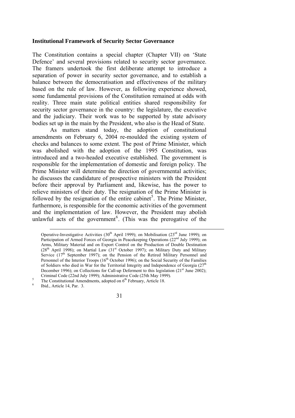#### **Institutional Framework of Security Sector Governance**

The Constitution contains a special chapter (Chapter VII) on 'State Defence' and several provisions related to security sector governance. The framers undertook the first deliberate attempt to introduce a separation of power in security sector governance, and to establish a balance between the democratisation and effectiveness of the military based on the rule of law. However, as following experience showed, some fundamental provisions of the Constitution remained at odds with reality. Three main state political entities shared responsibility for security sector governance in the country: the legislature, the executive and the judiciary. Their work was to be supported by state advisory bodies set up in the main by the President, who also is the Head of State.

As matters stand today, the adoption of constitutional amendments on February 6, 2004 re-moulded the existing system of checks and balances to some extent. The post of Prime Minister, which was abolished with the adoption of the 1995 Constitution, was introduced and a two-headed executive established. The government is responsible for the implementation of domestic and foreign policy. The Prime Minister will determine the direction of governmental activities; he discusses the candidature of prospective ministers with the President before their approval by Parliament and, likewise, has the power to relieve ministers of their duty. The resignation of the Prime Minister is followed by the resignation of the entire cabinet<sup>[5](#page-3-0)</sup>. The Prime Minister, furthermore, is responsible for the economic activities of the government and the implementation of law. However, the President may abolish unlawful acts of the government<sup>[6](#page-3-1)</sup>. (This was the prerogative of the

<span id="page-3-1"></span>Ibid., Article 14, Par. 3.

<u>.</u>

Operative-Investigative Activities (30<sup>th</sup> April 1999); on Mobilisation (23<sup>rd</sup> June 1999); on Participation of Armed Forces of Georgia in Peacekeeping Operations (22<sup>nd</sup> July 1999); on Arms, Military Material and on Export Control on the Production of Double Destination  $(28<sup>th</sup>$  April 1998); on Martial Law  $(31<sup>st</sup>$  October 1997); on Military Duty and Military Service (17<sup>th</sup> September 1997); on the Pension of the Retired Military Personnel and Personnel of the Interior Troops  $(16<sup>th</sup> October 1996)$ ; on the Social Security of the Families of Soldiers who died in War for the Territorial Integrity and Independence of Georgia (27<sup>th</sup> December 1996); on Collections for Call-up Deferment to this legislation  $(21<sup>st</sup> June 2002)$ ; Criminal Code (22nd July 1999); Administrative Code (25th May 1999). 5

<span id="page-3-0"></span><sup>&</sup>lt;sup>5</sup> The Constitutional Amendments, adopted on  $6<sup>th</sup>$  February, Article 18.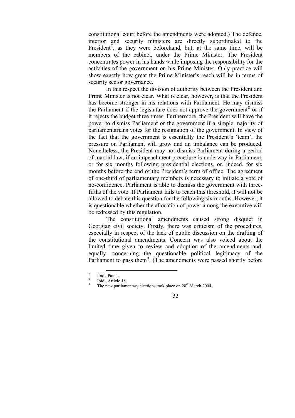constitutional court before the amendments were adopted.) The defence, interior and security ministers are directly subordinated to the President<sup>[7](#page-4-0)</sup>, as they were beforehand, but, at the same time, will be members of the cabinet, under the Prime Minister. The President concentrates power in his hands while imposing the responsibility for the activities of the government on his Prime Minister. Only practice will show exactly how great the Prime Minister's reach will be in terms of security sector governance.

In this respect the division of authority between the President and Prime Minister is not clear. What is clear, however, is that the President has become stronger in his relations with Parliament. He may dismiss the Parliament if the legislature does not approve the government<sup>[8](#page-4-1)</sup> or if it rejects the budget three times. Furthermore, the President will have the power to dismiss Parliament or the government if a simple majority of parliamentarians votes for the resignation of the government. In view of the fact that the government is essentially the President's 'team', the pressure on Parliament will grow and an imbalance can be produced. Nonetheless, the President may not dismiss Parliament during a period of martial law, if an impeachment procedure is underway in Parliament, or for six months following presidential elections, or, indeed, for six months before the end of the President's term of office. The agreement of one-third of parliamentary members is necessary to initiate a vote of no-confidence. Parliament is able to dismiss the government with threefifths of the vote. If Parliament fails to reach this threshold, it will not be allowed to debate this question for the following six months. However, it is questionable whether the allocation of power among the executive will be redressed by this regulation.

The constitutional amendments caused strong disquiet in Georgian civil society. Firstly, there was criticism of the procedures, especially in respect of the lack of public discussion on the drafting of the constitutional amendments. Concern was also voiced about the limited time given to review and adoption of the amendments and, equally, concerning the questionable political legitimacy of the Parliament to pass them<sup>[9](#page-4-2)</sup>. (The amendments were passed shortly before

 $\overline{a}$ 7 Ibid., Par. 1.

<span id="page-4-2"></span><span id="page-4-1"></span><span id="page-4-0"></span><sup>8</sup> Ibid., Article 18. 9

The new parliamentary elections took place on 28<sup>th</sup> March 2004.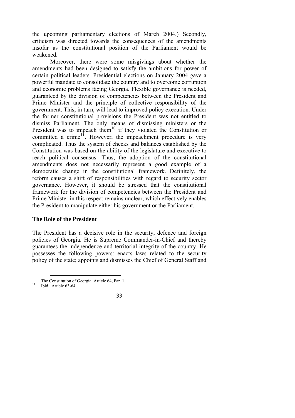the upcoming parliamentary elections of March 2004.) Secondly, criticism was directed towards the consequences of the amendments insofar as the constitutional position of the Parliament would be weakened.

Moreover, there were some misgivings about whether the amendments had been designed to satisfy the ambitions for power of certain political leaders. Presidential elections on January 2004 gave a powerful mandate to consolidate the country and to overcome corruption and economic problems facing Georgia. Flexible governance is needed, guaranteed by the division of competencies between the President and Prime Minister and the principle of collective responsibility of the government. This, in turn, will lead to improved policy execution. Under the former constitutional provisions the President was not entitled to dismiss Parliament. The only means of dismissing ministers or the President was to impeach them<sup>[10](#page-5-0)</sup> if they violated the Constitution or committed a crime<sup>[11](#page-5-1)</sup>. However, the impeachment procedure is very complicated. Thus the system of checks and balances established by the Constitution was based on the ability of the legislature and executive to reach political consensus. Thus, the adoption of the constitutional amendments does not necessarily represent a good example of a democratic change in the constitutional framework. Definitely, the reform causes a shift of responsibilities with regard to security sector governance. However, it should be stressed that the constitutional framework for the division of competencies between the President and Prime Minister in this respect remains unclear, which effectively enables the President to manipulate either his government or the Parliament.

#### **The Role of the President**

The President has a decisive role in the security, defence and foreign policies of Georgia. He is Supreme Commander-in-Chief and thereby guarantees the independence and territorial integrity of the country. He possesses the following powers: enacts laws related to the security policy of the state; appoints and dismisses the Chief of General Staff and

<span id="page-5-0"></span> $\overline{a}$ <sup>10</sup> The Constitution of Georgia, Article 64, Par. 1.<br><sup>11</sup> Ibid., Article 63-64.

<span id="page-5-1"></span>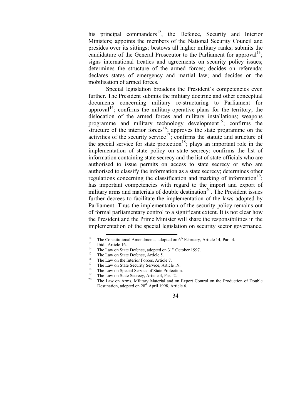his principal commanders<sup>[12](#page-6-0)</sup>, the Defence, Security and Interior Ministers; appoints the members of the National Security Council and presides over its sittings; bestows all higher military ranks; submits the candidature of the General Prosecutor to the Parliament for approval<sup>[13](#page-6-1)</sup>; signs international treaties and agreements on security policy issues; determines the structure of the armed forces; decides on referenda; declares states of emergency and martial law; and decides on the mobilisation of armed forces.

Special legislation broadens the President's competencies even further. The President submits the military doctrine and other conceptual documents concerning military re-structuring to Parliament for approval<sup>[14](#page-6-2)</sup>; confirms the military-operative plans for the territory; the dislocation of the armed forces and military installations; weapons programme and military technology development<sup>[15](#page-6-3)</sup>; confirms the structure of the interior forces<sup>[16](#page-6-4)</sup>; approves the state programme on the activities of the security service<sup>[17](#page-6-5)</sup>; confirms the statute and structure of the special service for state protection<sup>[18](#page-6-6)</sup>; plays an important role in the implementation of state policy on state secrecy; confirms the list of information containing state secrecy and the list of state officials who are authorised to issue permits on access to state secrecy or who are authorised to classify the information as a state secrecy; determines other regulations concerning the classification and marking of information<sup>[19](#page-6-7)</sup>: has important competencies with regard to the import and export of military arms and materials of double destination<sup>[20](#page-6-8)</sup>. The President issues further decrees to facilitate the implementation of the laws adopted by Parliament. Thus the implementation of the security policy remains out of formal parliamentary control to a significant extent. It is not clear how the President and the Prime Minister will share the responsibilities in the implementation of the special legislation on security sector governance.

<span id="page-6-0"></span><sup>12</sup> The Constitutional Amendments, adopted on  $6<sup>th</sup>$  February, Article 14, Par. 4. Ibid., Article 16.

<span id="page-6-2"></span><span id="page-6-1"></span><sup>&</sup>lt;sup>14</sup> The Law on State Defence, adopted on  $31<sup>st</sup>$  October 1997.<br><sup>15</sup> The Law on State Defence, Article 5.

<span id="page-6-3"></span>

<span id="page-6-4"></span><sup>&</sup>lt;sup>16</sup> The Law on the Interior Forces, Article 7.

<span id="page-6-5"></span><sup>&</sup>lt;sup>17</sup> The Law on State Security Service, Article 19.

<sup>&</sup>lt;sup>18</sup> The Law on Special Service of State Protection.

<span id="page-6-8"></span><span id="page-6-7"></span><span id="page-6-6"></span><sup>&</sup>lt;sup>19</sup> The Law on State Secrecy, Article 4, Par. 2.<br><sup>20</sup> The Law on Agree Militan Material and a

The Law on Arms, Military Material and on Export Control on the Production of Double Destination, adopted on 28<sup>th</sup> April 1998, Article 6.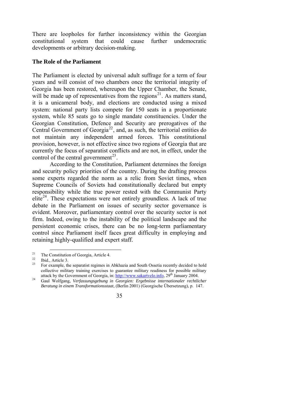There are loopholes for further inconsistency within the Georgian constitutional system that could cause further undemocratic developments or arbitrary decision-making.

#### **The Role of the Parliament**

The Parliament is elected by universal adult suffrage for a term of four years and will consist of two chambers once the territorial integrity of Georgia has been restored, whereupon the Upper Chamber, the Senate, will be made up of representatives from the regions<sup>[21](#page-7-0)</sup>. As matters stand, it is a unicameral body, and elections are conducted using a mixed system: national party lists compete for 150 seats in a proportionate system, while 85 seats go to single mandate constituencies. Under the Georgian Constitution, Defence and Security are prerogatives of the Central Government of Georgia<sup>[22](#page-7-1)</sup>, and, as such, the territorial entities do not maintain any independent armed forces. This constitutional provision, however, is not effective since two regions of Georgia that are currently the focus of separatist conflicts and are not, in effect, under the control of the central government<sup>[23](#page-7-2)</sup>.

According to the Constitution, Parliament determines the foreign and security policy priorities of the country. During the drafting process some experts regarded the norm as a relic from Soviet times, when Supreme Councils of Soviets had constitutionally declared but empty responsibility while the true power rested with the Communist Party elite<sup>[24](#page-7-3)</sup>. These expectations were not entirely groundless. A lack of true debate in the Parliament on issues of security sector governance is evident. Moreover, parliamentary control over the security sector is not firm. Indeed, owing to the instability of the political landscape and the persistent economic crises, there can be no long-term parliamentary control since Parliament itself faces great difficulty in employing and retaining highly-qualified and expert staff.

<span id="page-7-0"></span><sup>&</sup>lt;sup>21</sup> The Constitution of Georgia, Article 4.

<span id="page-7-2"></span><span id="page-7-1"></span> $\frac{22}{23}$  Ibid., Article 3.

<sup>23</sup> For example, the separatist regimes in Abkhazia and South Ossetia recently decided to hold collective military training exercises to guarantee military readiness for possible military attack by the Government of Georgia, in: http://www.sakartvelo.info.  $29<sup>th</sup>$  January 2004.

<span id="page-7-3"></span>attack by the Government of Googlen, included the *informationality* 2004. 24 Gaul Wolfgang, *Verfassungsgebung in Georgien: Ergebnisse internationaler rechtlicher Beratung in einem Transformationsstaat*, (Berlin 2001) (Georgische Übersetzung), p. 147.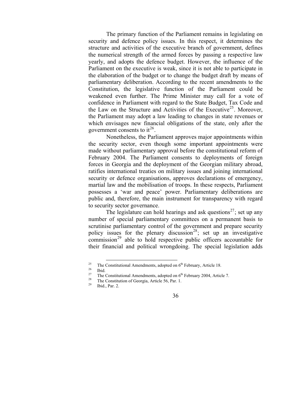The primary function of the Parliament remains in legislating on security and defence policy issues. In this respect, it determines the structure and activities of the executive branch of government, defines the numerical strength of the armed forces by passing a respective law yearly, and adopts the defence budget. However, the influence of the Parliament on the executive is weak, since it is not able to participate in the elaboration of the budget or to change the budget draft by means of parliamentary deliberation. According to the recent amendments to the Constitution, the legislative function of the Parliament could be weakened even further. The Prime Minister may call for a vote of confidence in Parliament with regard to the State Budget, Tax Code and the Law on the Structure and Activities of the Executive<sup>[25](#page-8-0)</sup>. Moreover, the Parliament may adopt a law leading to changes in state revenues or which envisages new financial obligations of the state, only after the government consents to  $it^{26}$  $it^{26}$  $it^{26}$ .

Nonetheless, the Parliament approves major appointments within the security sector, even though some important appointments were made without parliamentary approval before the constitutional reform of February 2004. The Parliament consents to deployments of foreign forces in Georgia and the deployment of the Georgian military abroad, ratifies international treaties on military issues and joining international security or defence organisations, approves declarations of emergency, martial law and the mobilisation of troops. In these respects, Parliament possesses a 'war and peace' power. Parliamentary deliberations are public and, therefore, the main instrument for transparency with regard to security sector governance.

The legislature can hold hearings and ask questions<sup>[27](#page-8-2)</sup>; set up any number of special parliamentary committees on a permanent basis to scrutinise parliamentary control of the government and prepare security policy issues for the plenary discussion<sup>[28](#page-8-3)</sup>; set up an investigative  $\overline{\text{commission}^{29}}$  $\overline{\text{commission}^{29}}$  $\overline{\text{commission}^{29}}$  able to hold respective public officers accountable for their financial and political wrongdoing. The special legislation adds

<sup>&</sup>lt;sup>25</sup> The Constitutional Amendments, adopted on  $6<sup>th</sup>$  February, Article 18. Ibid.

<span id="page-8-4"></span><span id="page-8-3"></span><span id="page-8-2"></span><span id="page-8-1"></span><span id="page-8-0"></span><sup>&</sup>lt;sup>27</sup> The Constitutional Amendments, adopted on  $6<sup>th</sup>$  February 2004, Article 7.<br><sup>28</sup> The Constitution of Georgia, Article 56, Par. 1.<br><sup>29</sup> Ibid., Par. 2.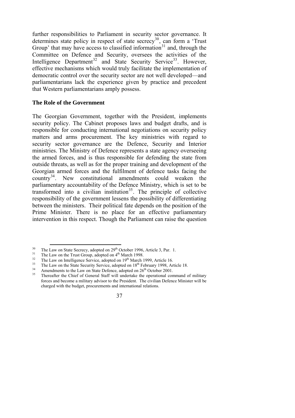further responsibilities to Parliament in security sector governance. It determines state policy in respect of state secrecy<sup>[30](#page-9-0)</sup>, can form a 'Trust Group' that may have access to classified information<sup>[31](#page-9-1)</sup> and, through the Committee on Defence and Security, oversees the activities of the Intelligence Department<sup>[32](#page-9-2)</sup> and State Security Service<sup>[33](#page-9-3)</sup>. However, effective mechanisms which would truly facilitate the implementation of democratic control over the security sector are not well developed—and parliamentarians lack the experience given by practice and precedent that Western parliamentarians amply possess.

#### **The Role of the Government**

The Georgian Government, together with the President, implements security policy. The Cabinet proposes laws and budget drafts, and is responsible for conducting international negotiations on security policy matters and arms procurement. The key ministries with regard to security sector governance are the Defence, Security and Interior ministries. The Ministry of Defence represents a state agency overseeing the armed forces, and is thus responsible for defending the state from outside threats, as well as for the proper training and development of the Georgian armed forces and the fulfilment of defence tasks facing the country[34](#page-9-4). New constitutional amendments could weaken the parliamentary accountability of the Defence Ministry, which is set to be transformed into a civilian institution<sup>[35](#page-9-5)</sup>. The principle of collective responsibility of the government lessens the possibility of differentiating between the ministers. Their political fate depends on the position of the Prime Minister. There is no place for an effective parliamentary intervention in this respect. Though the Parliament can raise the question

The Law on State Secrecy, adopted on 29<sup>th</sup> October 1996, Article 3, Par. 1.

<span id="page-9-2"></span>

<span id="page-9-3"></span>

<span id="page-9-5"></span><span id="page-9-4"></span>

<span id="page-9-1"></span><span id="page-9-0"></span><sup>&</sup>lt;sup>30</sup> The Law on State Secrecy, adopted on 29<sup>th</sup> October 1996, Article 3, Par. 1.<br><sup>31</sup> The Law on the Trust Group, adopted on  $4^{th}$  March 1998.<br><sup>32</sup> The Law on Intelligence Service, adopted on  $19^{th}$  March 1999, Article forces and become a military advisor to the President. The civilian Defence Minister will be charged with the budget, procurements and international relations.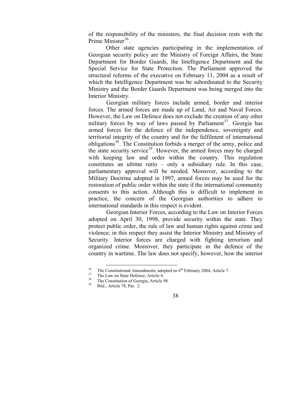of the responsibility of the ministers, the final decision rests with the Prime Minister<sup>[36](#page-10-0)</sup>

Other state agencies participating in the implementation of Georgian security policy are the Ministry of Foreign Affairs, the State Department for Border Guards, the Intelligence Department and the Special Service for State Protection. The Parliament approved the structural reforms of the executive on February 11, 2004 as a result of which the Intelligence Department was be subordinated to the Security Ministry and the Border Guards Department was being merged into the Interior Ministry.

Georgian military forces include armed, border and interior forces. The armed forces are made up of Land, Air and Naval Forces. However, the Law on Defence does not exclude the creation of any other military forces by way of laws passed by Parliament<sup>[37](#page-10-1)</sup>. Georgia has armed forces for the defence of the independence, sovereignty and territorial integrity of the country and for the fulfilment of international obligations<sup>[38](#page-10-2)</sup>. The Constitution forbids a merger of the army, police and the state security service<sup>[39](#page-10-3)</sup>. However, the armed forces may be charged with keeping law and order within the country. This regulation constitutes an *ultima ratio* – only a subsidiary rule. In this case, parliamentary approval will be needed. Moreover, according to the Military Doctrine adopted in 1997, armed forces may be used for the restoration of public order within the state if the international community consents to this action. Although this is difficult to implement in practice, the concern of the Georgian authorities to adhere to international standards in this respect is evident.

Georgian Interior Forces, according to the Law on Interior Forces adopted on April 30, 1998, provide security within the state. They protect public order, the rule of law and human rights against crime and violence; in this respect they assist the Interior Ministry and Ministry of Security. Interior forces are charged with fighting terrorism and organized crime. Moreover, they participate in the defence of the country in wartime. The law does not specify, however, how the interior

<span id="page-10-0"></span> $\overline{a}$ <sup>36</sup> The Constitutional Amendments, adopted on  $6<sup>th</sup>$  February 2004, Article 7.<br><sup>37</sup> The Constitution of Constitution Article 9.

<span id="page-10-3"></span><span id="page-10-2"></span><span id="page-10-1"></span> $38$  The Constitution of Georgia, Article 98.

Ibid., Article 78, Par. 2.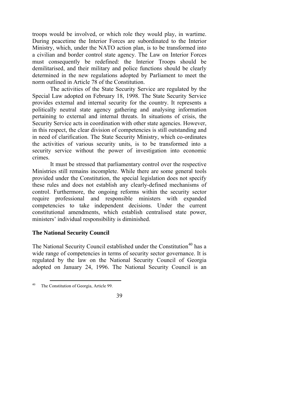troops would be involved, or which role they would play, in wartime. During peacetime the Interior Forces are subordinated to the Interior Ministry, which, under the NATO action plan, is to be transformed into a civilian and border control state agency. The Law on Interior Forces must consequently be redefined: the Interior Troops should be demilitarised, and their military and police functions should be clearly determined in the new regulations adopted by Parliament to meet the norm outlined in Article 78 of the Constitution.

The activities of the State Security Service are regulated by the Special Law adopted on February 18, 1998. The State Security Service provides external and internal security for the country. It represents a politically neutral state agency gathering and analysing information pertaining to external and internal threats. In situations of crisis, the Security Service acts in coordination with other state agencies. However, in this respect, the clear division of competencies is still outstanding and in need of clarification. The State Security Ministry, which co-ordinates the activities of various security units, is to be transformed into a security service without the power of investigation into economic crimes.

It must be stressed that parliamentary control over the respective Ministries still remains incomplete. While there are some general tools provided under the Constitution, the special legislation does not specify these rules and does not establish any clearly-defined mechanisms of control. Furthermore, the ongoing reforms within the security sector require professional and responsible ministers with expanded competencies to take independent decisions. Under the current constitutional amendments, which establish centralised state power, ministers' individual responsibility is diminished.

#### **The National Security Council**

The National Security Council established under the Constitution<sup>[40](#page-11-0)</sup> has a wide range of competencies in terms of security sector governance. It is regulated by the law on the National Security Council of Georgia adopted on January 24, 1996. The National Security Council is an

<span id="page-11-0"></span> $\overline{a}$ 40 The Constitution of Georgia, Article 99.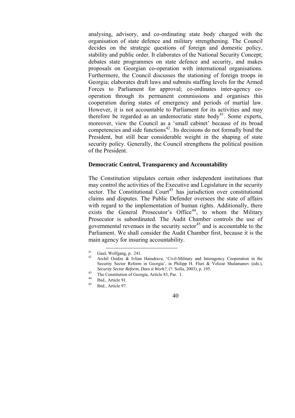analysing, advisory, and co-ordinating state body charged with the organisation of state defence and military strengthening*.* The Council decides on the strategic questions of foreign and domestic policy, stability and public order. It elaborates of the National Security Concept; debates state programmes on state defence and security, and makes proposals on Georgian co-operation with international organisations. Furthermore, the Council discusses the stationing of foreign troops in Georgia; elaborates draft laws and submits staffing levels for the Armed Forces to Parliament for approval; co-ordinates inter-agency cooperation through its permanent commissions and organises this cooperation during states of emergency and periods of martial law. However, it is not accountable to Parliament for its activities and may therefore be regarded as an undemocratic state body<sup>[41](#page-12-0)</sup>. Some experts, moreover, view the Council as a 'small cabinet' because of its broad competencies and side functions<sup>[42](#page-12-1)</sup>. Its decisions do not formally bind the President, but still bear considerable weight in the shaping of state security policy. Generally, the Council strengthens the political position of the President.

#### **Democratic Control, Transparency and Accountability**

The Constitution stipulates certain other independent institutions that may control the activities of the Executive and Legislature in the security sector. The Constitutional Court<sup>[43](#page-12-2)</sup> has jurisdiction over constitutional claims and disputes. The Public Defender oversees the state of affairs with regard to the implementation of human rights. Additionally, there exists the General Prosecutor's Office<sup>[44](#page-12-3)</sup>, to whom the Military Prosecutor is subordinated. The Audit Chamber controls the use of governmental revenues in the security sector<sup>[45](#page-12-4)</sup> and is accountable to the Parliament. We shall consider the Audit Chamber first, because it is the main agency for insuring accountability.

 $\overline{a}$  $^{41}$  Gaul, Wolfgang, p. 241.

<span id="page-12-1"></span><span id="page-12-0"></span>Archil Osidze & Ivlian Haindrava, 'Civil-Military and Interagency Cooperation in the Security Sector Reform in Georgia', in Philipp H. Fluri & Velizar Shalamanov (eds.), *Security Sector Reform, Does it Work?*, (?: Sofia, 2003), p. 195.<br>
<sup>43</sup> The Constitution of Georgia, Article 83, Par. 1.<br>
<sup>44</sup> Ibid., Article 91.

<span id="page-12-3"></span><span id="page-12-2"></span>

<span id="page-12-4"></span>

Ibid., Article 97.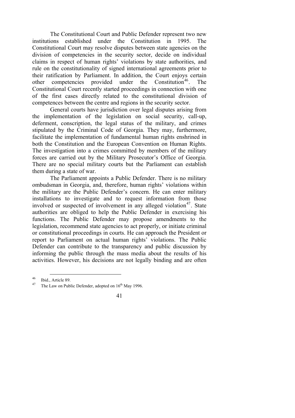The Constitutional Court and Public Defender represent two new institutions established under the Constitution in 1995. The Constitutional Court may resolve disputes between state agencies on the division of competencies in the security sector, decide on individual claims in respect of human rights' violations by state authorities, and rule on the constitutionality of signed international agreements prior to their ratification by Parliament. In addition, the Court enjoys certain other competencies provided under the Constitution<sup>[46](#page-13-0)</sup>. The Constitutional Court recently started proceedings in connection with one of the first cases directly related to the constitutional division of competences between the centre and regions in the security sector.

General courts have jurisdiction over legal disputes arising from the implementation of the legislation on social security, call-up, deferment, conscription, the legal status of the military, and crimes stipulated by the Criminal Code of Georgia. They may, furthermore, facilitate the implementation of fundamental human rights enshrined in both the Constitution and the European Convention on Human Rights. The investigation into a crimes committed by members of the military forces are carried out by the Military Prosecutor's Office of Georgia. There are no special military courts but the Parliament can establish them during a state of war.

The Parliament appoints a Public Defender. There is no military ombudsman in Georgia, and, therefore, human rights' violations within the military are the Public Defender's concern. He can enter military installations to investigate and to request information from those involved or suspected of involvement in any alleged violation<sup>[47](#page-13-1)</sup>. State authorities are obliged to help the Public Defender in exercising his functions. The Public Defender may propose amendments to the legislation, recommend state agencies to act properly, or initiate criminal or constitutional proceedings in courts. He can approach the President or report to Parliament on actual human rights' violations. The Public Defender can contribute to the transparency and public discussion by informing the public through the mass media about the results of his activities. However, his decisions are not legally binding and are often

<span id="page-13-0"></span> $\overline{a}$  $^{46}$  Ibid., Article 89.

<span id="page-13-1"></span>The Law on Public Defender, adopted on  $16<sup>th</sup>$  May 1996.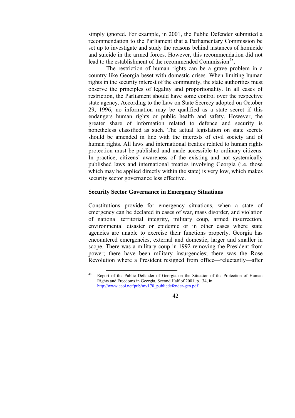simply ignored. For example, in 2001, the Public Defender submitted a recommendation to the Parliament that a Parliamentary Commission be set up to investigate and study the reasons behind instances of homicide and suicide in the armed forces. However, this recommendation did not lead to the establishment of the recommended Commission<sup>[48](#page-14-0)</sup>.

The restriction of human rights can be a grave problem in a country like Georgia beset with domestic crises. When limiting human rights in the security interest of the community, the state authorities must observe the principles of legality and proportionality. In all cases of restriction, the Parliament should have some control over the respective state agency. According to the Law on State Secrecy adopted on October 29, 1996, no information may be qualified as a state secret if this endangers human rights or public health and safety. However, the greater share of information related to defence and security is nonetheless classified as such. The actual legislation on state secrets should be amended in line with the interests of civil society and of human rights. All laws and international treaties related to human rights protection must be published and made accessible to ordinary citizens. In practice, citizens' awareness of the existing and not systemically published laws and international treaties involving Georgia (i.e. those which may be applied directly within the state) is very low, which makes security sector governance less effective.

#### **Security Sector Governance in Emergency Situations**

Constitutions provide for emergency situations, when a state of emergency can be declared in cases of war, mass disorder, and violation of national territorial integrity, military coup, armed insurrection, environmental disaster or epidemic or in other cases where state agencies are unable to exercise their functions properly. Georgia has encountered emergencies, external and domestic, larger and smaller in scope. There was a military coup in 1992 removing the President from power; there have been military insurgencies; there was the Rose Revolution where a President resigned from office—reluctantly—after

<span id="page-14-0"></span> $\overline{a}$ 48 Report of the Public Defender of Georgia on the Situation of the Protection of Human Rights and Freedoms in Georgia, Second Half of 2001, p. 34, in: [http://www.ecoi.net/pub/mv170\\_publicdefender-geo.pdf](http://www.ecoi.net/pub/mv170_publicdefender-geo.pdf)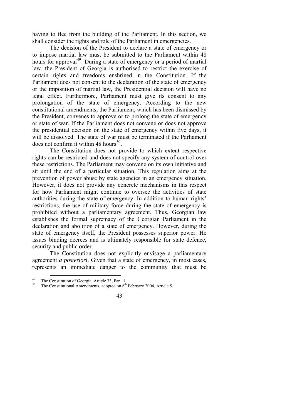having to flee from the building of the Parliament. In this section, we shall consider the rights and role of the Parliament in emergencies.

The decision of the President to declare a state of emergency or to impose martial law must be submitted to the Parliament within 48 hours for approval<sup>[49](#page-15-0)</sup>. During a state of emergency or a period of martial law, the President of Georgia is authorised to restrict the exercise of certain rights and freedoms enshrined in the Constitution. If the Parliament does not consent to the declaration of the state of emergency or the imposition of martial law, the Presidential decision will have no legal effect. Furthermore, Parliament must give its consent to any prolongation of the state of emergency. According to the new constitutional amendments, the Parliament, which has been dismissed by the President, convenes to approve or to prolong the state of emergency or state of war. If the Parliament does not convene or does not approve the presidential decision on the state of emergency within five days, it will be dissolved. The state of war must be terminated if the Parliament does not confirm it within 48 hours<sup>[50](#page-15-1)</sup>.

The Constitution does not provide to which extent respective rights can be restricted and does not specify any system of control over these restrictions. The Parliament may convene on its own initiative and sit until the end of a particular situation. This regulation aims at the prevention of power abuse by state agencies in an emergency situation. However, it does not provide any concrete mechanisms in this respect for how Parliament might continue to oversee the activities of state authorities during the state of emergency. In addition to human rights' restrictions, the use of military force during the state of emergency is prohibited without a parliamentary agreement. Thus, Georgian law establishes the formal supremacy of the Georgian Parliament in the declaration and abolition of a state of emergency. However, during the state of emergency itself, the President possesses superior power. He issues binding decrees and is ultimately responsible for state defence, security and public order.

The Constitution does not explicitly envisage a parliamentary agreement *a posteriori*. Given that a state of emergency, in most cases, represents an immediate danger to the community that must be

<span id="page-15-1"></span><span id="page-15-0"></span>

<sup>&</sup>lt;sup>49</sup> The Constitution of Georgia, Article 73, Par. 1.<br><sup>50</sup> The Constitutional Amendments, adopted on 6<sup>th</sup> February 2004, Article 5.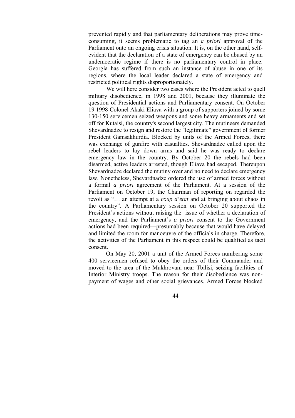prevented rapidly and that parliamentary deliberations may prove timeconsuming, it seems problematic to tag an *a priori* approval of the Parliament onto an ongoing crisis situation. It is, on the other hand, selfevident that the declaration of a state of emergency can be abused by an undemocratic regime if there is no parliamentary control in place. Georgia has suffered from such an instance of abuse in one of its regions, where the local leader declared a state of emergency and restricted political rights disproportionately.

We will here consider two cases where the President acted to quell military disobedience, in 1998 and 2001, because they illuminate the question of Presidential actions and Parliamentary consent. On October 19 1998 Colonel Akaki Eliava with a group of supporters joined by some 130-150 servicemen seized weapons and some heavy armaments and set off for Kutaisi, the country's second largest city. The mutineers demanded Shevardnadze to resign and restore the "legitimate" government of former President Gamsakhurdia. Blocked by units of the Armed Forces, there was exchange of gunfire with casualties. Shevardnadze called upon the rebel leaders to lay down arms and said he was ready to declare emergency law in the country. By October 20 the rebels had been disarmed, active leaders arrested, though Eliava had escaped. Thereupon Shevardnadze declared the mutiny over and no need to declare emergency law. Nonetheless, Shevardnadze ordered the use of armed forces without a formal *a priori* agreement of the Parliament. At a session of the Parliament on October 19, the Chairman of reporting on regarded the revolt as "… an attempt at a *coup d'etat* and at bringing about chaos in the country". A Parliamentary session on October 20 supported the President's actions without raising the issue of whether a declaration of emergency, and the Parliament's *a priori* consent to the Government actions had been required—presumably because that would have delayed and limited the room for manoeuvre of the officials in charge. Therefore, the activities of the Parliament in this respect could be qualified as tacit consent.

On May 20, 2001 a unit of the Armed Forces numbering some 400 servicemen refused to obey the orders of their Commander and moved to the area of the Mukhrovani near Tbilisi, seizing facilities of Interior Ministry troops. The reason for their disobedience was nonpayment of wages and other social grievances. Armed Forces blocked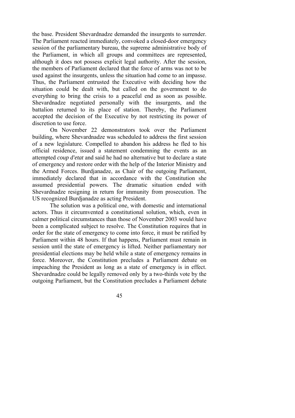the base. President Shevardnadze demanded the insurgents to surrender. The Parliament reacted immediately, convoked a closed-door emergency session of the parliamentary bureau, the supreme administrative body of the Parliament, in which all groups and committees are represented, although it does not possess explicit legal authority. After the session, the members of Parliament declared that the force of arms was not to be used against the insurgents, unless the situation had come to an impasse. Thus, the Parliament entrusted the Executive with deciding how the situation could be dealt with, but called on the government to do everything to bring the crisis to a peaceful end as soon as possible. Shevardnadze negotiated personally with the insurgents, and the battalion returned to its place of station. Thereby, the Parliament accepted the decision of the Executive by not restricting its power of discretion to use force.

On November 22 demonstrators took over the Parliament building, where Shevardnadze was scheduled to address the first session of a new legislature. Compelled to abandon his address he fled to his official residence, issued a statement condemning the events as an attempted *coup d'etat* and said he had no alternative but to declare a state of emergency and restore order with the help of the Interior Ministry and the Armed Forces. Burdjanadze, as Chair of the outgoing Parliament, immediately declared that in accordance with the Constitution she assumed presidential powers. The dramatic situation ended with Shevardnadze resigning in return for immunity from prosecution. The US recognized Burdjanadze as acting President.

The solution was a political one, with domestic and international actors. Thus it circumvented a constitutional solution, which, even in calmer political circumstances than those of November 2003 would have been a complicated subject to resolve. The Constitution requires that in order for the state of emergency to come into force, it must be ratified by Parliament within 48 hours. If that happens, Parliament must remain in session until the state of emergency is lifted. Neither parliamentary nor presidential elections may be held while a state of emergency remains in force. Moreover, the Constitution precludes a Parliament debate on impeaching the President as long as a state of emergency is in effect. Shevardnadze could be legally removed only by a two-thirds vote by the outgoing Parliament, but the Constitution precludes a Parliament debate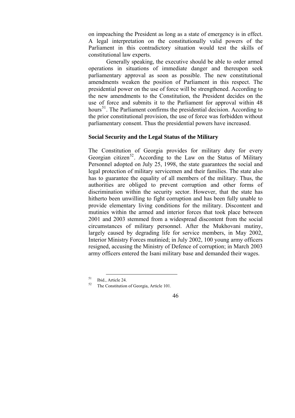on impeaching the President as long as a state of emergency is in effect. A legal interpretation on the constitutionally valid powers of the Parliament in this contradictory situation would test the skills of constitutional law experts.

Generally speaking, the executive should be able to order armed operations in situations of immediate danger and thereupon seek parliamentary approval as soon as possible. The new constitutional amendments weaken the position of Parliament in this respect. The presidential power on the use of force will be strengthened. According to the new amendments to the Constitution, the President decides on the use of force and submits it to the Parliament for approval within 48 hours<sup>[51](#page-18-0)</sup>. The Parliament confirms the presidential decision. According to the prior constitutional provision, the use of force was forbidden without parliamentary consent. Thus the presidential powers have increased.

#### **Social Security and the Legal Status of the Military**

The Constitution of Georgia provides for military duty for every Georgian citizen<sup>[52](#page-18-1)</sup>. According to the Law on the Status of Military Personnel adopted on July 25, 1998, the state guarantees the social and legal protection of military servicemen and their families. The state also has to guarantee the equality of all members of the military. Thus, the authorities are obliged to prevent corruption and other forms of discrimination within the security sector. However, that the state has hitherto been unwilling to fight corruption and has been fully unable to provide elementary living conditions for the military. Discontent and mutinies within the armed and interior forces that took place between 2001 and 2003 stemmed from a widespread discontent from the social circumstances of military personnel. After the Mukhovani mutiny, largely caused by degrading life for service members, in May 2002, Interior Ministry Forces mutinied; in July 2002, 100 young army officers resigned, accusing the Ministry of Defence of corruption; in March 2003 army officers entered the Isani military base and demanded their wages.

 $\overline{a}$ 

<span id="page-18-1"></span><span id="page-18-0"></span><sup>&</sup>lt;sup>51</sup> Ibid., Article 24. The Constitution of Georgia, Article 101.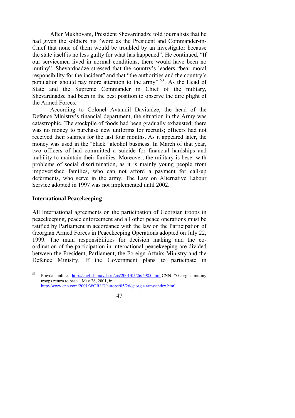After Mukhovani, President Shevardnadze told journalists that he had given the soldiers his "word as the President and Commander-in-Chief that none of them would be troubled by an investigator because the state itself is no less guilty for what has happened". He continued, "If our servicemen lived in normal conditions, there would have been no mutiny". Shevardnadze stressed that the country's leaders "bear moral responsibility for the incident" and that "the authorities and the country's population should pay more attention to the army" <sup>[53](#page-19-0)</sup>. As the Head of State and the Supreme Commander in Chief of the military, Shevardnadze had been in the best position to observe the dire plight of the Armed Forces.

According to Colonel Avtandil Davitadze, the head of the Defence Ministry's financial department, the situation in the Army was catastrophic. The stockpile of foods had been gradually exhausted; there was no money to purchase new uniforms for recruits; officers had not received their salaries for the last four months. As it appeared later, the money was used in the "black" alcohol business. In March of that year, two officers of had committed a suicide for financial hardships and inability to maintain their families. Moreover, the military is beset with problems of social discrimination, as it is mainly young people from impoverished families, who can not afford a payment for call-up deferments, who serve in the army. The Law on Alternative Labour Service adopted in 1997 was not implemented until 2002.

#### **International Peacekeeping**

 $\overline{a}$ 

All International agreements on the participation of Georgian troops in peacekeeping, peace enforcement and all other peace operations must be ratified by Parliament in accordance with the law on the Participation of Georgian Armed Forces in Peacekeeping Operations adopted on July 22, 1999. The main responsibilities for decision making and the coordination of the participation in international peacekeeping are divided between the President, Parliament, the Foreign Affairs Ministry and the Defence Ministry. If the Government plans to participate in

<span id="page-19-0"></span><sup>53</sup> Pravda online, [http://english.pravda.ru/cis/2001/05/26/5985.html,](http://english.pravda.ru/cis/2001/05/26/5985.html)CNN "Georgia mutiny troops return to base", May 26, 2001, in: [http://www.cnn.com/2001/WORLD/europe/05/26/georgia.army/index.html.](http://www.cnn.com/2001/WORLD/europe/05/26/georgia.army/index.html)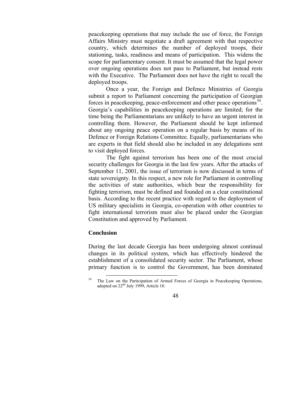peacekeeping operations that may include the use of force, the Foreign Affairs Ministry must negotiate a draft agreement with that respective country, which determines the number of deployed troops, their stationing, tasks, readiness and means of participation. This widens the scope for parliamentary consent. It must be assumed that the legal power over ongoing operations does not pass to Parliament, but instead rests with the Executive. The Parliament does not have the right to recall the deployed troops.

Once a year, the Foreign and Defence Ministries of Georgia submit a report to Parliament concerning the participation of Georgian forces in peacekeeping, peace-enforcement and other peace operations<sup>54</sup>. Georgia's capabilities in peacekeeping operations are limited; for the time being the Parliamentarians are unlikely to have an urgent interest in controlling them. However, the Parliament should be kept informed about any ongoing peace operation on a regular basis by means of its Defence or Foreign Relations Committee. Equally, parliamentarians who are experts in that field should also be included in any delegations sent to visit deployed forces.

 The fight against terrorism has been one of the most crucial security challenges for Georgia in the last few years. After the attacks of September 11, 2001, the issue of terrorism is now discussed in terms of state sovereignty. In this respect, a new role for Parliament in controlling the activities of state authorities, which bear the responsibility for fighting terrorism, must be defined and founded on a clear constitutional basis. According to the recent practice with regard to the deployment of US military specialists in Georgia, co-operation with other countries to fight international terrorism must also be placed under the Georgian Constitution and approved by Parliament.

#### **Conclusion**

During the last decade Georgia has been undergoing almost continual changes in its political system, which has effectively hindered the establishment of a consolidated security sector. The Parliament, whose primary function is to control the Government, has been dominated

<span id="page-20-0"></span> $\overline{a}$ <sup>54</sup> The Law on the Participation of Armed Forces of Georgia in Peacekeeping Operations, adopted on  $22<sup>nd</sup>$  July 1999, Article 10.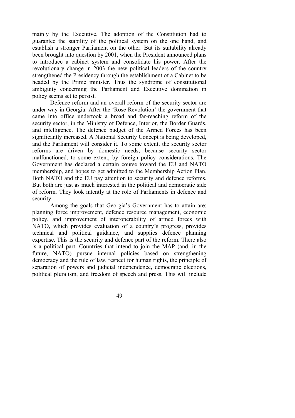mainly by the Executive. The adoption of the Constitution had to guarantee the stability of the political system on the one hand, and establish a stronger Parliament on the other. But its suitability already been brought into question by 2001, when the President announced plans to introduce a cabinet system and consolidate his power. After the revolutionary change in 2003 the new political leaders of the country strengthened the Presidency through the establishment of a Cabinet to be headed by the Prime minister. Thus the syndrome of constitutional ambiguity concerning the Parliament and Executive domination in policy seems set to persist.

Defence reform and an overall reform of the security sector are under way in Georgia. After the 'Rose Revolution' the government that came into office undertook a broad and far-reaching reform of the security sector, in the Ministry of Defence, Interior, the Border Guards, and intelligence. The defence budget of the Armed Forces has been significantly increased. A National Security Concept is being developed, and the Parliament will consider it. To some extent, the security sector reforms are driven by domestic needs, because security sector malfunctioned, to some extent, by foreign policy considerations. The Government has declared a certain course toward the EU and NATO membership, and hopes to get admitted to the Membership Action Plan. Both NATO and the EU pay attention to security and defence reforms. But both are just as much interested in the political and democratic side of reform. They look intently at the role of Parliaments in defence and security.

Among the goals that Georgia's Government has to attain are: planning force improvement, defence resource management, economic policy, and improvement of interoperability of armed forces with NATO, which provides evaluation of a country's progress, provides technical and political guidance, and supplies defence planning expertise. This is the security and defence part of the reform. There also is a political part. Countries that intend to join the MAP (and, in the future, NATO) pursue internal policies based on strengthening democracy and the rule of law, respect for human rights, the principle of separation of powers and judicial independence, democratic elections, political pluralism, and freedom of speech and press. This will include